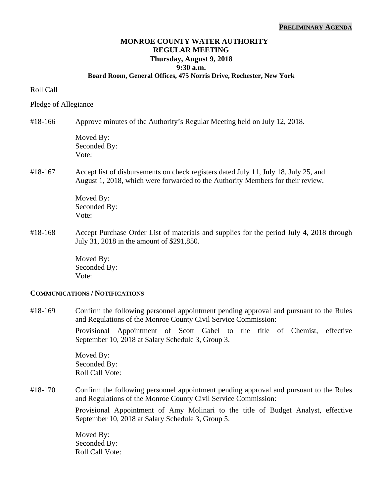#### **PRELIMINARY AGENDA**

# **MONROE COUNTY WATER AUTHORITY REGULAR MEETING Thursday, August 9, 2018 9:30 a.m.**

### **Board Room, General Offices, 475 Norris Drive, Rochester, New York**

### Roll Call

### Pledge of Allegiance

#18-166 Approve minutes of the Authority's Regular Meeting held on July 12, 2018.

Moved By: Seconded By: Vote:

## #18-167 Accept list of disbursements on check registers dated July 11, July 18, July 25, and August 1, 2018, which were forwarded to the Authority Members for their review.

 Moved By: Seconded By: Vote:

#18-168 Accept Purchase Order List of materials and supplies for the period July 4, 2018 through July 31, 2018 in the amount of \$291,850.

> Moved By: Seconded By: Vote:

#### **COMMUNICATIONS / NOTIFICATIONS**

#18-169 Confirm the following personnel appointment pending approval and pursuant to the Rules and Regulations of the Monroe County Civil Service Commission:

> Provisional Appointment of Scott Gabel to the title of Chemist, effective September 10, 2018 at Salary Schedule 3, Group 3.

Moved By: Seconded By: Roll Call Vote:

#18-170 Confirm the following personnel appointment pending approval and pursuant to the Rules and Regulations of the Monroe County Civil Service Commission:

> Provisional Appointment of Amy Molinari to the title of Budget Analyst, effective September 10, 2018 at Salary Schedule 3, Group 5.

Moved By: Seconded By: Roll Call Vote: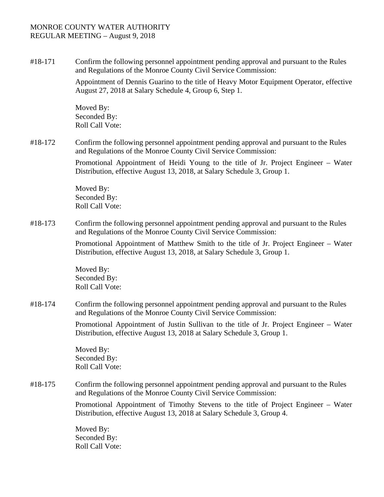### MONROE COUNTY WATER AUTHORITY REGULAR MEETING – August 9, 2018

#18-171 Confirm the following personnel appointment pending approval and pursuant to the Rules and Regulations of the Monroe County Civil Service Commission:

> Appointment of Dennis Guarino to the title of Heavy Motor Equipment Operator, effective August 27, 2018 at Salary Schedule 4, Group 6, Step 1.

Moved By: Seconded By: Roll Call Vote:

#18-172 Confirm the following personnel appointment pending approval and pursuant to the Rules and Regulations of the Monroe County Civil Service Commission:

> Promotional Appointment of Heidi Young to the title of Jr. Project Engineer – Water Distribution, effective August 13, 2018, at Salary Schedule 3, Group 1.

Moved By: Seconded By: Roll Call Vote:

#18-173 Confirm the following personnel appointment pending approval and pursuant to the Rules and Regulations of the Monroe County Civil Service Commission:

> Promotional Appointment of Matthew Smith to the title of Jr. Project Engineer – Water Distribution, effective August 13, 2018, at Salary Schedule 3, Group 1.

Moved By: Seconded By: Roll Call Vote:

#18-174 Confirm the following personnel appointment pending approval and pursuant to the Rules and Regulations of the Monroe County Civil Service Commission:

> Promotional Appointment of Justin Sullivan to the title of Jr. Project Engineer – Water Distribution, effective August 13, 2018 at Salary Schedule 3, Group 1.

Moved By: Seconded By: Roll Call Vote:

#18-175 Confirm the following personnel appointment pending approval and pursuant to the Rules and Regulations of the Monroe County Civil Service Commission:

> Promotional Appointment of Timothy Stevens to the title of Project Engineer – Water Distribution, effective August 13, 2018 at Salary Schedule 3, Group 4.

Moved By: Seconded By: Roll Call Vote: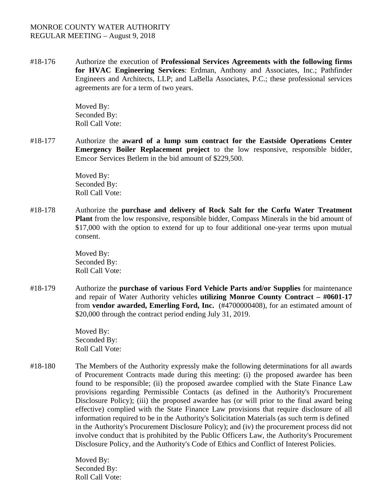### MONROE COUNTY WATER AUTHORITY REGULAR MEETING – August 9, 2018

#18-176 Authorize the execution of **Professional Services Agreements with the following firms for HVAC Engineering Services**: Erdman, Anthony and Associates, Inc.; Pathfinder Engineers and Architects, LLP; and LaBella Associates, P.C.; these professional services agreements are for a term of two years.

> Moved By: Seconded By: Roll Call Vote:

#18-177 Authorize the **award of a lump sum contract for the Eastside Operations Center Emergency Boiler Replacement project** to the low responsive, responsible bidder, Emcor Services Betlem in the bid amount of \$229,500.

> Moved By: Seconded By: Roll Call Vote:

#18-178 Authorize the **purchase and delivery of Rock Salt for the Corfu Water Treatment Plant** from the low responsive, responsible bidder, Compass Minerals in the bid amount of \$17,000 with the option to extend for up to four additional one-year terms upon mutual consent.

> Moved By: Seconded By: Roll Call Vote:

#18-179 Authorize the **purchase of various Ford Vehicle Parts and/or Supplies** for maintenance and repair of Water Authority vehicles **utilizing Monroe County Contract – #0601-17** from **vendor awarded, Emerling Ford, Inc.** (#4700000408), for an estimated amount of \$20,000 through the contract period ending July 31, 2019.

> Moved By: Seconded By: Roll Call Vote:

#18-180 The Members of the Authority expressly make the following determinations for all awards of Procurement Contracts made during this meeting: (i) the proposed awardee has been found to be responsible; (ii) the proposed awardee complied with the State Finance Law provisions regarding Permissible Contacts (as defined in the Authority's Procurement Disclosure Policy); (iii) the proposed awardee has (or will prior to the final award being effective) complied with the State Finance Law provisions that require disclosure of all information required to be in the Authority's Solicitation Materials (as such term is defined in the Authority's Procurement Disclosure Policy); and (iv) the procurement process did not involve conduct that is prohibited by the Public Officers Law, the Authority's Procurement Disclosure Policy, and the Authority's Code of Ethics and Conflict of Interest Policies.

> Moved By: Seconded By: Roll Call Vote: